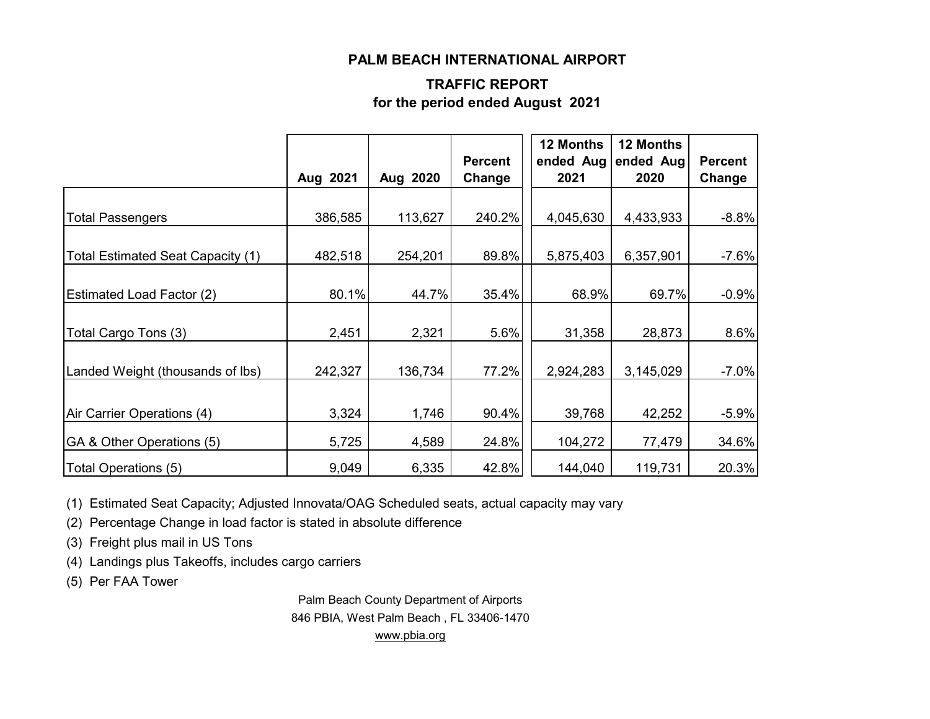#### **PALM BEACH INTERNATIONAL AIRPORT**

### **TRAFFIC REPORT for the period ended August 2021**

|                                   | Aug 2021 | Aug 2020 | <b>Percent</b><br>Change | 12 Months<br>2021 | 12 Months<br>ended Aug ended Aug<br>2020 | <b>Percent</b><br>Change |
|-----------------------------------|----------|----------|--------------------------|-------------------|------------------------------------------|--------------------------|
|                                   |          |          |                          |                   |                                          |                          |
| <b>Total Passengers</b>           | 386,585  | 113,627  | 240.2%                   | 4,045,630         | 4,433,933                                | $-8.8%$                  |
| Total Estimated Seat Capacity (1) | 482,518  | 254,201  | 89.8%                    | 5,875,403         | 6,357,901                                | $-7.6%$                  |
| <b>Estimated Load Factor (2)</b>  | 80.1%    | 44.7%    | 35.4%                    | 68.9%             | 69.7%                                    | $-0.9%$                  |
| Total Cargo Tons (3)              | 2,451    | 2,321    | 5.6%                     | 31,358            | 28,873                                   | 8.6%                     |
| Landed Weight (thousands of lbs)  | 242,327  | 136,734  | 77.2%                    | 2,924,283         | 3,145,029                                | $-7.0%$                  |
| Air Carrier Operations (4)        | 3,324    | 1,746    | 90.4%                    | 39,768            | 42,252                                   | $-5.9%$                  |
| GA & Other Operations (5)         | 5,725    | 4,589    | 24.8%                    | 104,272           | 77,479                                   | 34.6%                    |
| Total Operations (5)              | 9,049    | 6,335    | 42.8%                    | 144,040           | 119,731                                  | 20.3%                    |

(1) Estimated Seat Capacity; Adjusted Innovata/OAG Scheduled seats, actual capacity may vary

(2) Percentage Change in load factor is stated in absolute difference

(3) Freight plus mail in US Tons

(4) Landings plus Takeoffs, includes cargo carriers

(5) Per FAA Tower

Palm Beach County Department of Airports 846 PBIA, West Palm Beach , FL 33406-1470 [www.pbia.org](http://www.pbia.org/)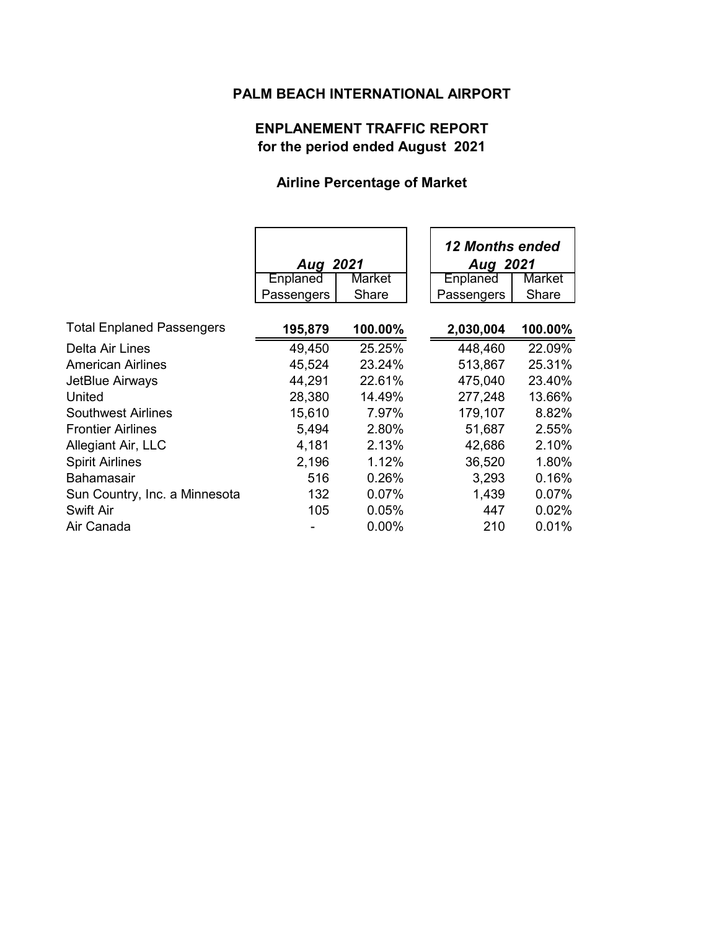## **PALM BEACH INTERNATIONAL AIRPORT**

## **ENPLANEMENT TRAFFIC REPORT for the period ended August 2021**

## **Airline Percentage of Market**

|                                  | Aug 2021   |          | 12 Months ended<br>Aug 2021 |
|----------------------------------|------------|----------|-----------------------------|
|                                  | Enplaned   | Market   | Market<br>Enplaned          |
|                                  | Passengers | Share    | Share<br>Passengers         |
| <b>Total Enplaned Passengers</b> | 195,879    | 100.00%  | 2,030,004<br>100.00%        |
| Delta Air Lines                  | 49,450     | 25.25%   | 22.09%<br>448,460           |
| American Airlines                | 45,524     | 23.24%   | 513,867<br>25.31%           |
| JetBlue Airways                  | 44,291     | 22.61%   | 475,040<br>23.40%           |
| United                           | 28,380     | 14.49%   | 277,248<br>13.66%           |
| Southwest Airlines               | 15,610     | 7.97%    | 8.82%<br>179,107            |
| <b>Frontier Airlines</b>         | 5,494      | 2.80%    | 51,687<br>2.55%             |
| Allegiant Air, LLC               | 4,181      | 2.13%    | 2.10%<br>42,686             |
| <b>Spirit Airlines</b>           | 2,196      | 1.12%    | 1.80%<br>36,520             |
| <b>Bahamasair</b>                | 516        | 0.26%    | 3,293<br>0.16%              |
| Sun Country, Inc. a Minnesota    | 132        | $0.07\%$ | 1,439<br>0.07%              |
| <b>Swift Air</b>                 | 105        | 0.05%    | 0.02%<br>447                |
| Air Canada                       |            | $0.00\%$ | 210<br>0.01%                |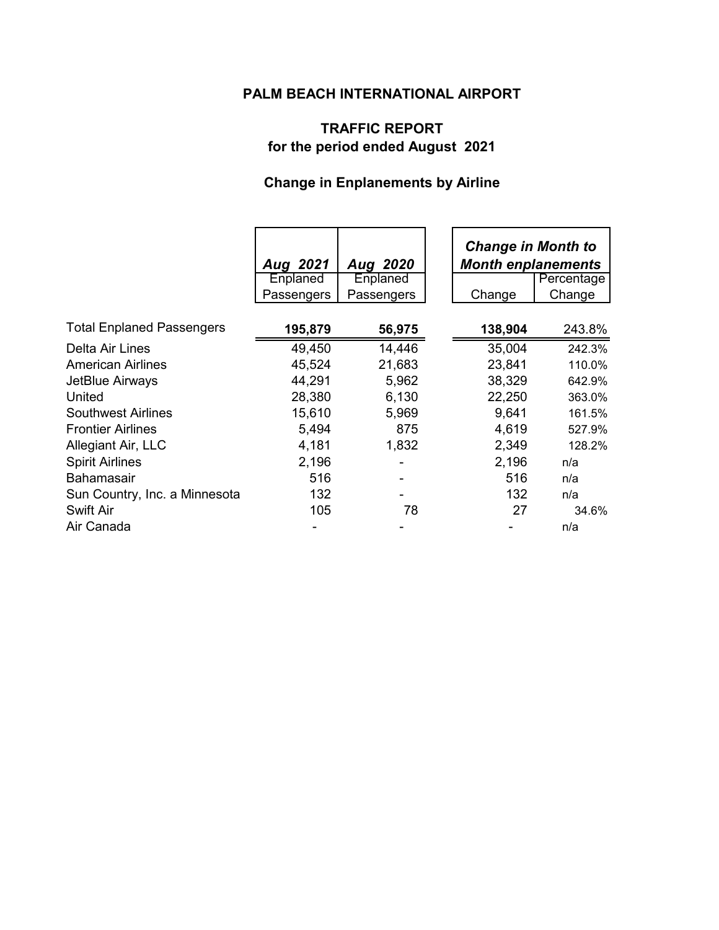## **PALM BEACH INTERNATIONAL AIRPORT**

## **TRAFFIC REPORT for the period ended August 2021**

# **Change in Enplanements by Airline**

|                                  | Aug 2021<br>Enplaned<br>Passengers | Aug 2020<br>Enplaned<br>Passengers | <b>Change in Month to</b><br><b>Month enplanements</b><br>Percentage<br>Change<br>Change |        |
|----------------------------------|------------------------------------|------------------------------------|------------------------------------------------------------------------------------------|--------|
|                                  |                                    |                                    |                                                                                          |        |
| <b>Total Enplaned Passengers</b> | 195,879                            | 56,975                             | 138,904                                                                                  | 243.8% |
| Delta Air Lines                  | 49,450                             | 14,446                             | 35,004                                                                                   | 242.3% |
| <b>American Airlines</b>         | 45,524                             | 21,683                             | 23,841                                                                                   | 110.0% |
| JetBlue Airways                  | 44,291                             | 5,962                              | 38,329                                                                                   | 642.9% |
| United                           | 28,380                             | 6,130                              | 22,250                                                                                   | 363.0% |
| <b>Southwest Airlines</b>        | 15,610                             | 5,969                              | 9,641                                                                                    | 161.5% |
| <b>Frontier Airlines</b>         | 5,494                              | 875                                | 4,619                                                                                    | 527.9% |
| Allegiant Air, LLC               | 4,181                              | 1,832                              | 2,349                                                                                    | 128.2% |
| <b>Spirit Airlines</b>           | 2,196                              |                                    | 2,196                                                                                    | n/a    |
| <b>Bahamasair</b>                | 516                                |                                    | 516                                                                                      | n/a    |
| Sun Country, Inc. a Minnesota    | 132                                |                                    | 132                                                                                      | n/a    |
| Swift Air                        | 105                                | 78                                 | 27                                                                                       | 34.6%  |
| Air Canada                       |                                    |                                    |                                                                                          | n/a    |